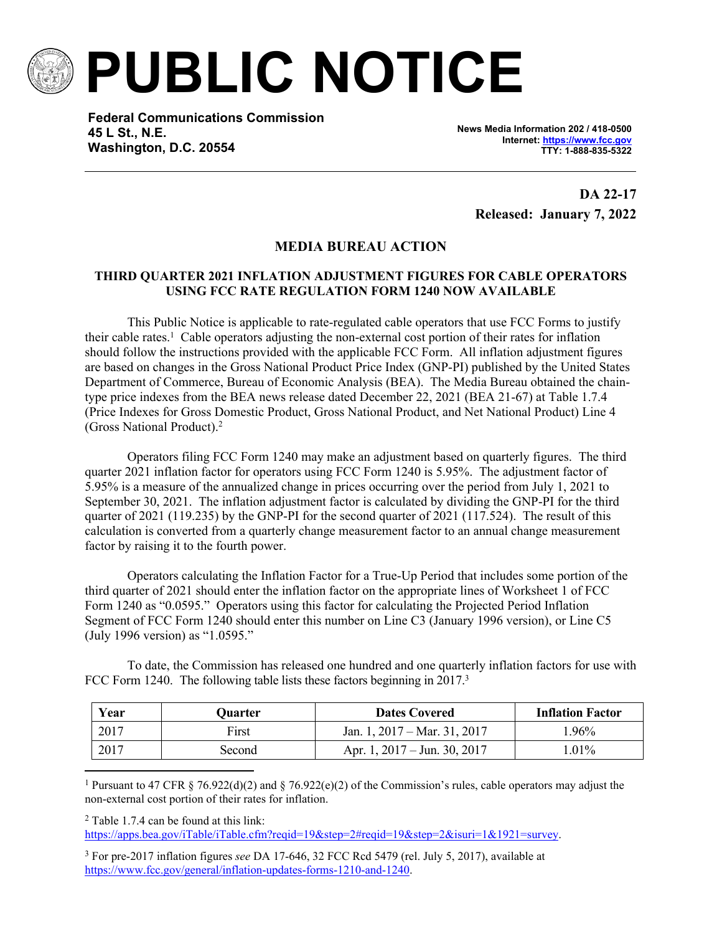

**PUBLIC NOTICE**

**Federal Communications Commission 45 L St., N.E. Washington, D.C. 20554**

**News Media Information 202 / 418-0500 Internet:<https://www.fcc.gov> TTY: 1-888-835-5322**

> **DA 22-17 Released: January 7, 2022**

## **MEDIA BUREAU ACTION**

## **THIRD QUARTER 2021 INFLATION ADJUSTMENT FIGURES FOR CABLE OPERATORS USING FCC RATE REGULATION FORM 1240 NOW AVAILABLE**

This Public Notice is applicable to rate-regulated cable operators that use FCC Forms to justify their cable rates.<sup>1</sup> Cable operators adjusting the non-external cost portion of their rates for inflation should follow the instructions provided with the applicable FCC Form. All inflation adjustment figures are based on changes in the Gross National Product Price Index (GNP-PI) published by the United States Department of Commerce, Bureau of Economic Analysis (BEA). The Media Bureau obtained the chaintype price indexes from the BEA news release dated December 22, 2021 (BEA 21-67) at Table 1.7.4 (Price Indexes for Gross Domestic Product, Gross National Product, and Net National Product) Line 4 (Gross National Product).<sup>2</sup>

Operators filing FCC Form 1240 may make an adjustment based on quarterly figures. The third quarter 2021 inflation factor for operators using FCC Form 1240 is 5.95%. The adjustment factor of 5.95% is a measure of the annualized change in prices occurring over the period from July 1, 2021 to September 30, 2021. The inflation adjustment factor is calculated by dividing the GNP-PI for the third quarter of 2021 (119.235) by the GNP-PI for the second quarter of 2021 (117.524). The result of this calculation is converted from a quarterly change measurement factor to an annual change measurement factor by raising it to the fourth power.

Operators calculating the Inflation Factor for a True-Up Period that includes some portion of the third quarter of 2021 should enter the inflation factor on the appropriate lines of Worksheet 1 of FCC Form 1240 as "0.0595." Operators using this factor for calculating the Projected Period Inflation Segment of FCC Form 1240 should enter this number on Line C3 (January 1996 version), or Line C5 (July 1996 version) as "1.0595."

To date, the Commission has released one hundred and one quarterly inflation factors for use with FCC Form 1240. The following table lists these factors beginning in 2017.<sup>3</sup>

| Year | Ouarter | <b>Dates Covered</b>                   | <b>Inflation Factor</b> |
|------|---------|----------------------------------------|-------------------------|
| 2017 | First   | Jan. 1, $2017 - \text{Mar. } 31, 2017$ | $.96\%$                 |
| 2017 | Second  | Apr. 1, $2017 - \text{Jun. } 30, 2017$ | $.01\%$                 |

<sup>1</sup> Pursuant to 47 CFR § 76.922(d)(2) and § 76.922(e)(2) of the Commission's rules, cable operators may adjust the non-external cost portion of their rates for inflation.

2 Table 1.7.4 can be found at this link:

[https://apps.bea.gov/iTable/iTable.cfm?reqid=19&step=2#reqid=19&step=2&isuri=1&1921=survey.](https://apps.bea.gov/iTable/iTable.cfm?reqid=19&step=2#reqid=19&step=2&isuri=1&1921=survey)

3 For pre-2017 inflation figures *see* DA 17-646, 32 FCC Rcd 5479 (rel. July 5, 2017), available at <https://www.fcc.gov/general/inflation-updates-forms-1210-and-1240>.